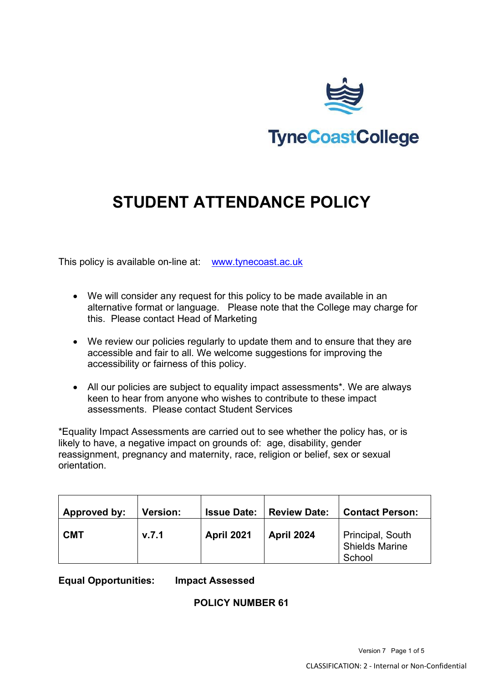

# **STUDENT ATTENDANCE POLICY**

This policy is available on-line at: [www.tynecoast.ac.uk](http://www.tynecoast.ac.uk/)

- We will consider any request for this policy to be made available in an alternative format or language. Please note that the College may charge for this. Please contact Head of Marketing
- We review our policies regularly to update them and to ensure that they are accessible and fair to all. We welcome suggestions for improving the accessibility or fairness of this policy.
- All our policies are subject to equality impact assessments\*. We are always keen to hear from anyone who wishes to contribute to these impact assessments. Please contact Student Services

\*Equality Impact Assessments are carried out to see whether the policy has, or is likely to have, a negative impact on grounds of: age, disability, gender reassignment, pregnancy and maternity, race, religion or belief, sex or sexual orientation.

| Approved by: | <b>Version:</b> | <b>Issue Date:</b> | <b>Review Date:</b> | <b>Contact Person:</b>                              |
|--------------|-----------------|--------------------|---------------------|-----------------------------------------------------|
| <b>CMT</b>   | v.7.1           | <b>April 2021</b>  | <b>April 2024</b>   | Principal, South<br><b>Shields Marine</b><br>School |

**Equal Opportunities: Impact Assessed**

# **POLICY NUMBER 61**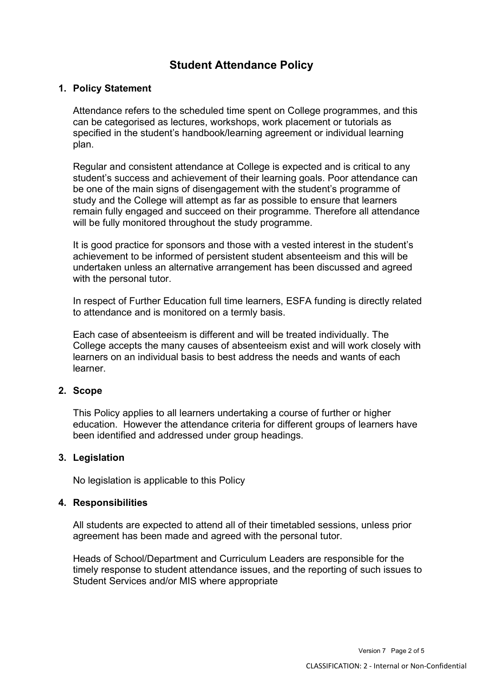# **Student Attendance Policy**

# **1. Policy Statement**

Attendance refers to the scheduled time spent on College programmes, and this can be categorised as lectures, workshops, work placement or tutorials as specified in the student's handbook/learning agreement or individual learning plan.

Regular and consistent attendance at College is expected and is critical to any student's success and achievement of their learning goals. Poor attendance can be one of the main signs of disengagement with the student's programme of study and the College will attempt as far as possible to ensure that learners remain fully engaged and succeed on their programme. Therefore all attendance will be fully monitored throughout the study programme.

It is good practice for sponsors and those with a vested interest in the student's achievement to be informed of persistent student absenteeism and this will be undertaken unless an alternative arrangement has been discussed and agreed with the personal tutor.

In respect of Further Education full time learners, ESFA funding is directly related to attendance and is monitored on a termly basis.

Each case of absenteeism is different and will be treated individually. The College accepts the many causes of absenteeism exist and will work closely with learners on an individual basis to best address the needs and wants of each learner.

# **2. Scope**

This Policy applies to all learners undertaking a course of further or higher education. However the attendance criteria for different groups of learners have been identified and addressed under group headings.

#### **3. Legislation**

No legislation is applicable to this Policy

#### **4. Responsibilities**

All students are expected to attend all of their timetabled sessions, unless prior agreement has been made and agreed with the personal tutor.

Heads of School/Department and Curriculum Leaders are responsible for the timely response to student attendance issues, and the reporting of such issues to Student Services and/or MIS where appropriate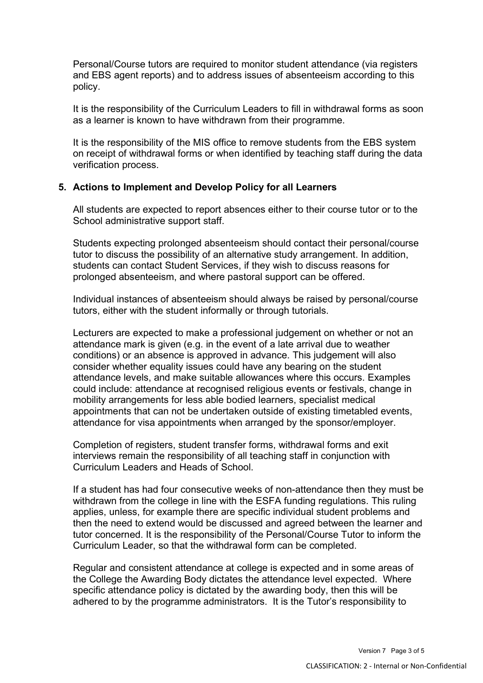Personal/Course tutors are required to monitor student attendance (via registers and EBS agent reports) and to address issues of absenteeism according to this policy.

It is the responsibility of the Curriculum Leaders to fill in withdrawal forms as soon as a learner is known to have withdrawn from their programme.

It is the responsibility of the MIS office to remove students from the EBS system on receipt of withdrawal forms or when identified by teaching staff during the data verification process.

#### **5. Actions to Implement and Develop Policy for all Learners**

All students are expected to report absences either to their course tutor or to the School administrative support staff.

Students expecting prolonged absenteeism should contact their personal/course tutor to discuss the possibility of an alternative study arrangement. In addition, students can contact Student Services, if they wish to discuss reasons for prolonged absenteeism, and where pastoral support can be offered.

Individual instances of absenteeism should always be raised by personal/course tutors, either with the student informally or through tutorials.

Lecturers are expected to make a professional judgement on whether or not an attendance mark is given (e.g. in the event of a late arrival due to weather conditions) or an absence is approved in advance. This judgement will also consider whether equality issues could have any bearing on the student attendance levels, and make suitable allowances where this occurs. Examples could include: attendance at recognised religious events or festivals, change in mobility arrangements for less able bodied learners, specialist medical appointments that can not be undertaken outside of existing timetabled events, attendance for visa appointments when arranged by the sponsor/employer.

Completion of registers, student transfer forms, withdrawal forms and exit interviews remain the responsibility of all teaching staff in conjunction with Curriculum Leaders and Heads of School.

If a student has had four consecutive weeks of non-attendance then they must be withdrawn from the college in line with the ESFA funding regulations. This ruling applies, unless, for example there are specific individual student problems and then the need to extend would be discussed and agreed between the learner and tutor concerned. It is the responsibility of the Personal/Course Tutor to inform the Curriculum Leader, so that the withdrawal form can be completed.

Regular and consistent attendance at college is expected and in some areas of the College the Awarding Body dictates the attendance level expected. Where specific attendance policy is dictated by the awarding body, then this will be adhered to by the programme administrators. It is the Tutor's responsibility to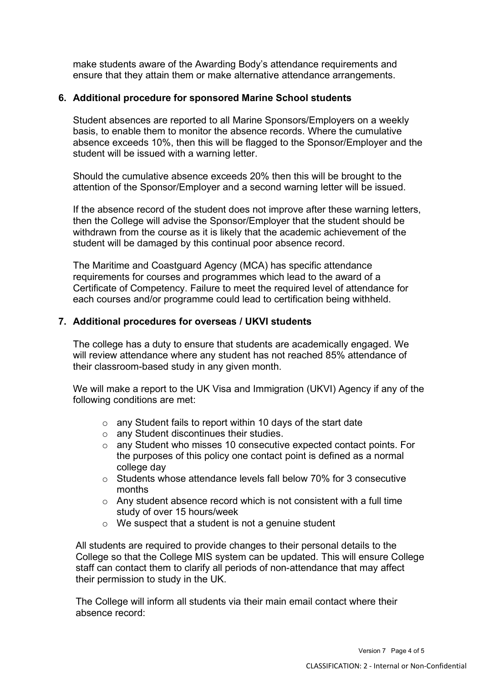make students aware of the Awarding Body's attendance requirements and ensure that they attain them or make alternative attendance arrangements.

# **6. Additional procedure for sponsored Marine School students**

Student absences are reported to all Marine Sponsors/Employers on a weekly basis, to enable them to monitor the absence records. Where the cumulative absence exceeds 10%, then this will be flagged to the Sponsor/Employer and the student will be issued with a warning letter.

Should the cumulative absence exceeds 20% then this will be brought to the attention of the Sponsor/Employer and a second warning letter will be issued.

If the absence record of the student does not improve after these warning letters, then the College will advise the Sponsor/Employer that the student should be withdrawn from the course as it is likely that the academic achievement of the student will be damaged by this continual poor absence record.

The Maritime and Coastguard Agency (MCA) has specific attendance requirements for courses and programmes which lead to the award of a Certificate of Competency. Failure to meet the required level of attendance for each courses and/or programme could lead to certification being withheld.

# **7. Additional procedures for overseas / UKVI students**

The college has a duty to ensure that students are academically engaged. We will review attendance where any student has not reached 85% attendance of their classroom-based study in any given month.

We will make a report to the UK Visa and Immigration (UKVI) Agency if any of the following conditions are met:

- o any Student fails to report within 10 days of the start date
- o any Student discontinues their studies.
- o any Student who misses 10 consecutive expected contact points. For the purposes of this policy one contact point is defined as a normal college day
- o Students whose attendance levels fall below 70% for 3 consecutive months
- o Any student absence record which is not consistent with a full time study of over 15 hours/week
- o We suspect that a student is not a genuine student

All students are required to provide changes to their personal details to the College so that the College MIS system can be updated. This will ensure College staff can contact them to clarify all periods of non-attendance that may affect their permission to study in the UK.

The College will inform all students via their main email contact where their absence record: